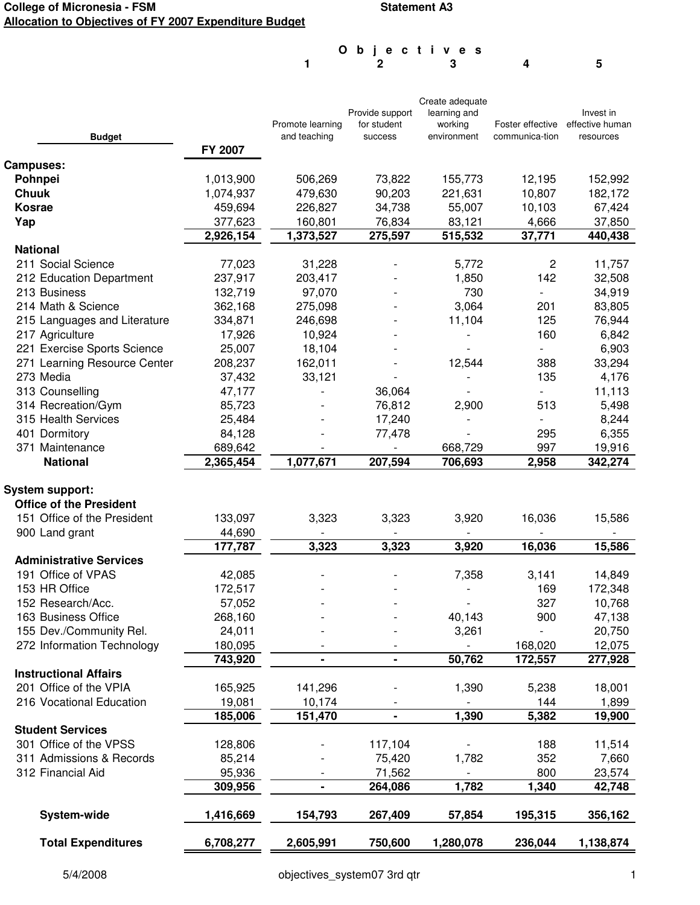## **College of Micronesia - FSM Allocation to Objectives of FY 2007 Expenditure Budget**

## **Statement A3**

**1 2 3 4 5 O b j e c t i v e s**

|                                |           |                  |                 | Create adequate |                  |                 |
|--------------------------------|-----------|------------------|-----------------|-----------------|------------------|-----------------|
|                                |           |                  | Provide support | learning and    |                  | Invest in       |
|                                |           | Promote learning | for student     | working         | Foster effective | effective human |
| <b>Budget</b>                  |           | and teaching     | success         | environment     | communica-tion   | resources       |
|                                | FY 2007   |                  |                 |                 |                  |                 |
| Campuses:                      |           |                  |                 |                 |                  |                 |
| Pohnpei                        | 1,013,900 | 506,269          | 73,822          | 155,773         | 12,195           | 152,992         |
| <b>Chuuk</b>                   | 1,074,937 | 479,630          | 90,203          | 221,631         | 10,807           | 182,172         |
| <b>Kosrae</b>                  | 459,694   | 226,827          | 34,738          | 55,007          | 10,103           | 67,424          |
| Yap                            | 377,623   | 160,801          | 76,834          | 83,121          | 4,666            | 37,850          |
|                                | 2,926,154 | 1,373,527        | 275,597         | 515,532         | 37,771           | 440,438         |
| <b>National</b>                |           |                  |                 |                 |                  |                 |
| 211 Social Science             | 77,023    | 31,228           |                 | 5,772           | $\overline{c}$   | 11,757          |
| 212 Education Department       | 237,917   | 203,417          |                 | 1,850           | 142              | 32,508          |
| 213 Business                   | 132,719   | 97,070           |                 | 730             |                  | 34,919          |
| 214 Math & Science             | 362,168   | 275,098          |                 | 3,064           | 201              | 83,805          |
| 215 Languages and Literature   | 334,871   | 246,698          |                 | 11,104          | 125              | 76,944          |
| 217 Agriculture                | 17,926    | 10,924           |                 |                 | 160              | 6,842           |
| 221 Exercise Sports Science    | 25,007    | 18,104           |                 |                 |                  | 6,903           |
| 271 Learning Resource Center   | 208,237   | 162,011          |                 | 12,544          | 388              | 33,294          |
| 273 Media                      |           |                  |                 |                 | 135              |                 |
|                                | 37,432    | 33,121           |                 |                 |                  | 4,176           |
| 313 Counselling                | 47,177    |                  | 36,064          |                 |                  | 11,113          |
| 314 Recreation/Gym             | 85,723    |                  | 76,812          | 2,900           | 513              | 5,498           |
| 315 Health Services            | 25,484    |                  | 17,240          |                 |                  | 8,244           |
| 401 Dormitory                  | 84,128    |                  | 77,478          |                 | 295              | 6,355           |
| 371 Maintenance                | 689,642   |                  |                 | 668,729         | 997              | 19,916          |
| <b>National</b>                | 2,365,454 | 1,077,671        | 207,594         | 706,693         | 2,958            | 342,274         |
|                                |           |                  |                 |                 |                  |                 |
| <b>System support:</b>         |           |                  |                 |                 |                  |                 |
| <b>Office of the President</b> |           |                  |                 |                 |                  |                 |
| 151 Office of the President    | 133,097   | 3,323            | 3,323           | 3,920           | 16,036           | 15,586          |
| 900 Land grant                 | 44,690    |                  |                 |                 |                  |                 |
|                                | 177,787   | 3,323            | 3,323           | 3,920           | 16,036           | 15,586          |
| <b>Administrative Services</b> |           |                  |                 |                 |                  |                 |
| 191 Office of VPAS             | 42,085    |                  |                 | 7,358           | 3,141            | 14,849          |
| 153 HR Office                  | 172,517   |                  |                 |                 | 169              | 172,348         |
| 152 Research/Acc.              | 57,052    |                  |                 |                 | 327              | 10,768          |
| 163 Business Office            | 268,160   |                  |                 | 40,143          | 900              | 47,138          |
| 155 Dev./Community Rel.        | 24,011    |                  |                 | 3,261           |                  | 20,750          |
| 272 Information Technology     | 180,095   |                  |                 |                 | 168,020          | 12,075          |
|                                | 743,920   | $\blacksquare$   | $\blacksquare$  | 50,762          | 172,557          | 277,928         |
| <b>Instructional Affairs</b>   |           |                  |                 |                 |                  |                 |
| 201 Office of the VPIA         | 165,925   | 141,296          |                 | 1,390           | 5,238            | 18,001          |
| 216 Vocational Education       | 19,081    | 10,174           |                 |                 | 144              | 1,899           |
|                                | 185,006   | 151,470          | $\blacksquare$  | 1,390           | 5,382            | 19,900          |
| <b>Student Services</b>        |           |                  |                 |                 |                  |                 |
| 301 Office of the VPSS         | 128,806   |                  | 117,104         |                 | 188              | 11,514          |
|                                |           |                  | 75,420          |                 | 352              |                 |
| 311 Admissions & Records       | 85,214    |                  |                 | 1,782           |                  | 7,660<br>23,574 |
| 312 Financial Aid              | 95,936    |                  | 71,562          |                 | 800              |                 |
|                                | 309,956   |                  | 264,086         | 1,782           | 1,340            | 42,748          |
|                                |           |                  |                 |                 |                  |                 |
| <b>System-wide</b>             | 1,416,669 | 154,793          | 267,409         | 57,854          | 195,315          | 356,162         |
|                                |           |                  |                 |                 |                  |                 |
| <b>Total Expenditures</b>      | 6,708,277 | 2,605,991        | 750,600         | 1,280,078       | 236,044          | 1,138,874       |